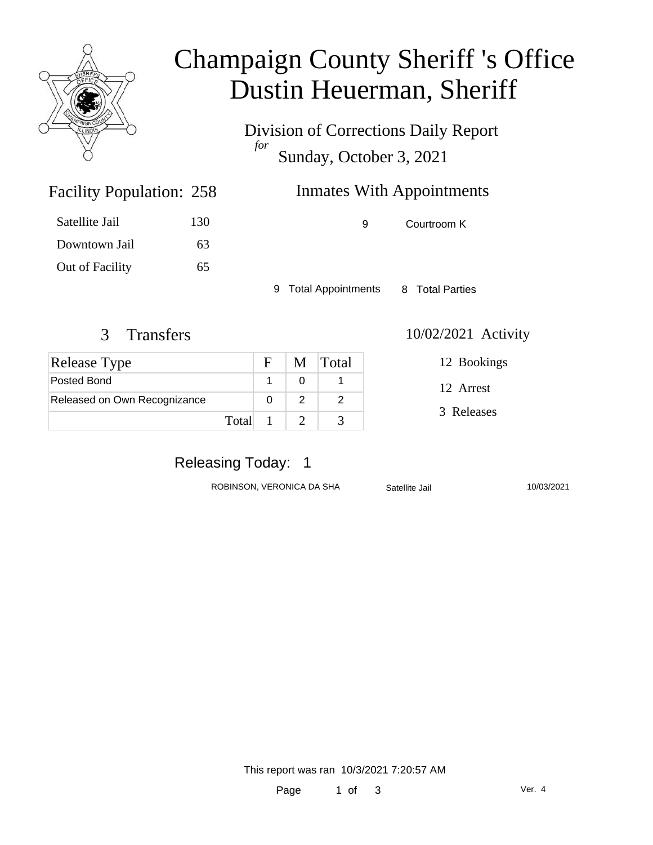

### Champaign County Sheriff 's Office Dustin Heuerman, Sheriff

Division of Corrections Daily Report *for* Sunday, October 3, 2021

### Inmates With Appointments

Satellite Jail 130 Downtown Jail 63 Out of Facility 65

Facility Population: 258

9 Courtroom K

9 Total Appointments 8 Total Parties

| <b>Release Type</b>          |       | $F_{\perp}$ | M Total |
|------------------------------|-------|-------------|---------|
| Posted Bond                  |       |             |         |
| Released on Own Recognizance |       |             |         |
|                              | Total |             |         |

3 Transfers 10/02/2021 Activity

12 Bookings

12 Arrest

3 Releases

### Releasing Today: 1

ROBINSON, VERONICA DA SHA Satellite Jail 10/03/2021

This report was ran 10/3/2021 7:20:57 AM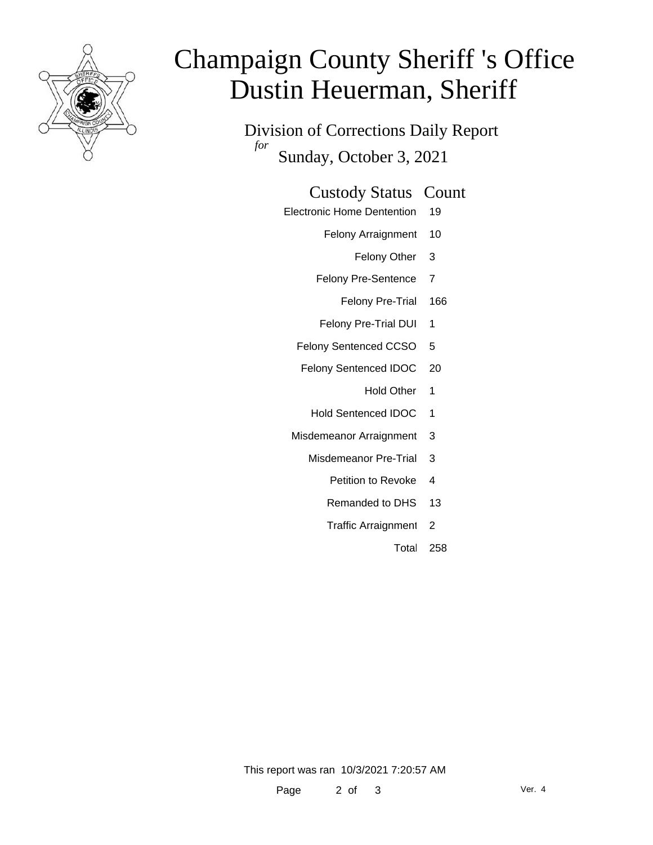

# Champaign County Sheriff 's Office Dustin Heuerman, Sheriff

Division of Corrections Daily Report *for* Sunday, October 3, 2021

#### Custody Status Count

- Electronic Home Dentention 19
	- Felony Arraignment 10
		- Felony Other 3
	- Felony Pre-Sentence 7
		- Felony Pre-Trial 166
	- Felony Pre-Trial DUI 1
	- Felony Sentenced CCSO 5
	- Felony Sentenced IDOC 20
		- Hold Other 1
		- Hold Sentenced IDOC 1
	- Misdemeanor Arraignment 3
		- Misdemeanor Pre-Trial 3
			- Petition to Revoke 4
			- Remanded to DHS 13
			- Traffic Arraignment 2
				- Total 258

This report was ran 10/3/2021 7:20:57 AM